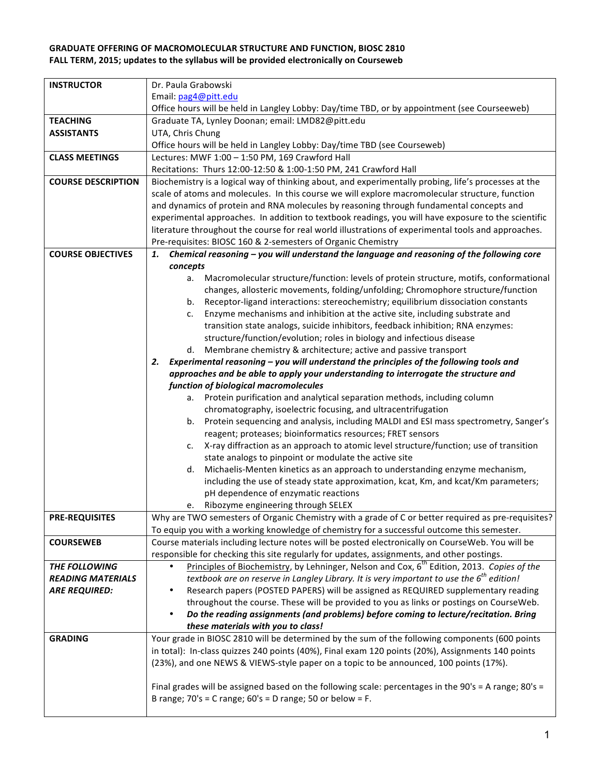## **GRADUATE OFFERING OF MACROMOLECULAR STRUCTURE AND FUNCTION, BIOSC 2810** FALL TERM, 2015; updates to the syllabus will be provided electronically on Courseweb

| <b>INSTRUCTOR</b>         | Dr. Paula Grabowski                                                                                                                                                      |  |  |
|---------------------------|--------------------------------------------------------------------------------------------------------------------------------------------------------------------------|--|--|
|                           | Email: pag4@pitt.edu                                                                                                                                                     |  |  |
|                           | Office hours will be held in Langley Lobby: Day/time TBD, or by appointment (see Courseeweb)                                                                             |  |  |
| <b>TEACHING</b>           | Graduate TA, Lynley Doonan; email: LMD82@pitt.edu                                                                                                                        |  |  |
| <b>ASSISTANTS</b>         | UTA, Chris Chung                                                                                                                                                         |  |  |
|                           | Office hours will be held in Langley Lobby: Day/time TBD (see Courseweb)                                                                                                 |  |  |
| <b>CLASS MEETINGS</b>     | Lectures: MWF 1:00 - 1:50 PM, 169 Crawford Hall                                                                                                                          |  |  |
|                           | Recitations: Thurs 12:00-12:50 & 1:00-1:50 PM, 241 Crawford Hall                                                                                                         |  |  |
| <b>COURSE DESCRIPTION</b> | Biochemistry is a logical way of thinking about, and experimentally probing, life's processes at the                                                                     |  |  |
|                           | scale of atoms and molecules. In this course we will explore macromolecular structure, function                                                                          |  |  |
|                           | and dynamics of protein and RNA molecules by reasoning through fundamental concepts and                                                                                  |  |  |
|                           | experimental approaches. In addition to textbook readings, you will have exposure to the scientific                                                                      |  |  |
|                           | literature throughout the course for real world illustrations of experimental tools and approaches.                                                                      |  |  |
|                           | Pre-requisites: BIOSC 160 & 2-semesters of Organic Chemistry                                                                                                             |  |  |
| <b>COURSE OBJECTIVES</b>  | Chemical reasoning - you will understand the language and reasoning of the following core<br>1.                                                                          |  |  |
|                           | concepts                                                                                                                                                                 |  |  |
|                           | Macromolecular structure/function: levels of protein structure, motifs, conformational<br>а.                                                                             |  |  |
|                           | changes, allosteric movements, folding/unfolding; Chromophore structure/function                                                                                         |  |  |
|                           | Receptor-ligand interactions: stereochemistry; equilibrium dissociation constants<br>b.                                                                                  |  |  |
|                           | Enzyme mechanisms and inhibition at the active site, including substrate and<br>c.                                                                                       |  |  |
|                           | transition state analogs, suicide inhibitors, feedback inhibition; RNA enzymes:                                                                                          |  |  |
|                           | structure/function/evolution; roles in biology and infectious disease                                                                                                    |  |  |
|                           | Membrane chemistry & architecture; active and passive transport<br>d.                                                                                                    |  |  |
|                           | Experimental reasoning - you will understand the principles of the following tools and<br>2.                                                                             |  |  |
|                           | approaches and be able to apply your understanding to interrogate the structure and                                                                                      |  |  |
|                           | function of biological macromolecules                                                                                                                                    |  |  |
|                           | a. Protein purification and analytical separation methods, including column                                                                                              |  |  |
|                           | chromatography, isoelectric focusing, and ultracentrifugation                                                                                                            |  |  |
|                           | b. Protein sequencing and analysis, including MALDI and ESI mass spectrometry, Sanger's                                                                                  |  |  |
|                           | reagent; proteases; bioinformatics resources; FRET sensors                                                                                                               |  |  |
|                           | X-ray diffraction as an approach to atomic level structure/function; use of transition<br>c.                                                                             |  |  |
|                           | state analogs to pinpoint or modulate the active site                                                                                                                    |  |  |
|                           | Michaelis-Menten kinetics as an approach to understanding enzyme mechanism,<br>d.                                                                                        |  |  |
|                           | including the use of steady state approximation, kcat, Km, and kcat/Km parameters;                                                                                       |  |  |
|                           | pH dependence of enzymatic reactions                                                                                                                                     |  |  |
|                           | e. Ribozyme engineering through SELEX                                                                                                                                    |  |  |
| <b>PRE-REQUISITES</b>     | Why are TWO semesters of Organic Chemistry with a grade of C or better required as pre-requisites?                                                                       |  |  |
|                           | To equip you with a working knowledge of chemistry for a successful outcome this semester.                                                                               |  |  |
| <b>COURSEWEB</b>          | Course materials including lecture notes will be posted electronically on CourseWeb. You will be                                                                         |  |  |
|                           | responsible for checking this site regularly for updates, assignments, and other postings.                                                                               |  |  |
| THE FOLLOWING             | Principles of Biochemistry, by Lehninger, Nelson and Cox, 6 <sup>th</sup> Edition, 2013. Copies of the                                                                   |  |  |
| <b>READING MATERIALS</b>  | textbook are on reserve in Langley Library. It is very important to use the $6^{th}$ edition!                                                                            |  |  |
| <b>ARE REQUIRED:</b>      | Research papers (POSTED PAPERS) will be assigned as REQUIRED supplementary reading                                                                                       |  |  |
|                           | throughout the course. These will be provided to you as links or postings on CourseWeb.                                                                                  |  |  |
|                           | Do the reading assignments (and problems) before coming to lecture/recitation. Bring<br>$\bullet$                                                                        |  |  |
|                           | these materials with you to class!                                                                                                                                       |  |  |
| <b>GRADING</b>            | Your grade in BIOSC 2810 will be determined by the sum of the following components (600 points                                                                           |  |  |
|                           | in total): In-class quizzes 240 points (40%), Final exam 120 points (20%), Assignments 140 points                                                                        |  |  |
|                           | (23%), and one NEWS & VIEWS-style paper on a topic to be announced, 100 points (17%).                                                                                    |  |  |
|                           |                                                                                                                                                                          |  |  |
|                           | Final grades will be assigned based on the following scale: percentages in the 90's = A range; 80's =<br>B range; $70's = C$ range; $60's = D$ range; $50$ or below = F. |  |  |
|                           |                                                                                                                                                                          |  |  |
|                           |                                                                                                                                                                          |  |  |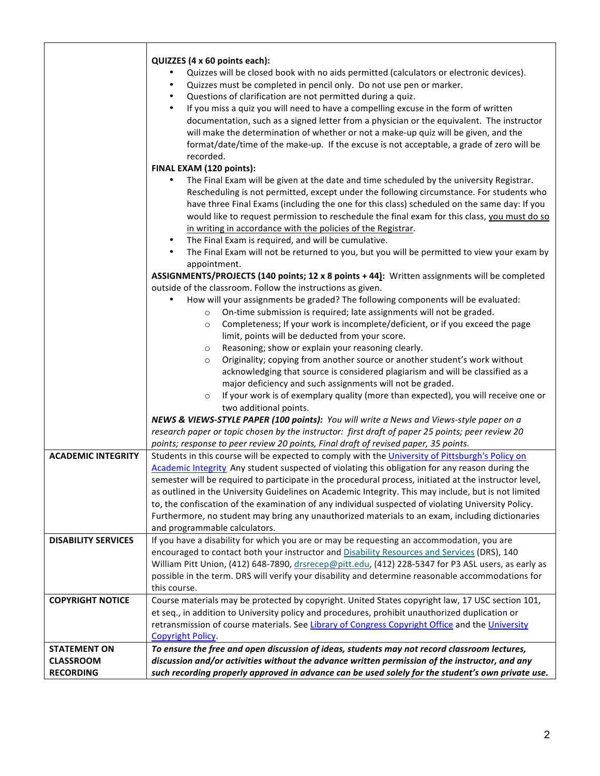|                            | QUIZZES (4 x 60 points each):<br>Quizzes will be closed book with no aids permitted (calculators or electronic devices).<br>Quizzes must be completed in pencil only. Do not use pen or marker.<br>Questions of clarification are not permitted during a quiz.<br>٠<br>If you miss a quiz you will need to have a compelling excuse in the form of written<br>$\bullet$<br>documentation, such as a signed letter from a physician or the equivalent. The instructor<br>will make the determination of whether or not a make-up quiz will be given, and the<br>format/date/time of the make-up. If the excuse is not acceptable, a grade of zero will be<br>recorded.<br>FINAL EXAM (120 points): |
|----------------------------|---------------------------------------------------------------------------------------------------------------------------------------------------------------------------------------------------------------------------------------------------------------------------------------------------------------------------------------------------------------------------------------------------------------------------------------------------------------------------------------------------------------------------------------------------------------------------------------------------------------------------------------------------------------------------------------------------|
|                            | The Final Exam will be given at the date and time scheduled by the university Registrar.<br>Rescheduling is not permitted, except under the following circumstance. For students who<br>have three Final Exams (including the one for this class) scheduled on the same day: If you<br>would like to request permission to reschedule the final exam for this class, you must do so<br>in writing in accordance with the policies of the Registrar.                                                                                                                                                                                                                                               |
|                            | The Final Exam is required, and will be cumulative.<br>$\bullet$<br>The Final Exam will not be returned to you, but you will be permitted to view your exam by<br>$\bullet$<br>appointment.<br>ASSIGNMENTS/PROJECTS (140 points; 12 x 8 points + 44): Written assignments will be completed                                                                                                                                                                                                                                                                                                                                                                                                       |
|                            | outside of the classroom. Follow the instructions as given.<br>How will your assignments be graded? The following components will be evaluated:<br>On-time submission is required; late assignments will not be graded.<br>$\circ$<br>Completeness; If your work is incomplete/deficient, or if you exceed the page<br>$\circ$<br>limit, points will be deducted from your score.                                                                                                                                                                                                                                                                                                                 |
|                            | Reasoning; show or explain your reasoning clearly.<br>$\circ$<br>Originality; copying from another source or another student's work without<br>$\circ$<br>acknowledging that source is considered plagiarism and will be classified as a<br>major deficiency and such assignments will not be graded.<br>If your work is of exemplary quality (more than expected), you will receive one or<br>$\circ$<br>two additional points.                                                                                                                                                                                                                                                                  |
|                            | NEWS & VIEWS-STYLE PAPER (100 points): You will write a News and Views-style paper on a<br>research paper or topic chosen by the instructor: first draft of paper 25 points; peer review 20<br>points; response to peer review 20 points, Final draft of revised paper, 35 points.                                                                                                                                                                                                                                                                                                                                                                                                                |
| <b>ACADEMIC INTEGRITY</b>  | Students in this course will be expected to comply with the University of Pittsburgh's Policy on<br>Academic Integrity Any student suspected of violating this obligation for any reason during the<br>semester will be required to participate in the procedural process, initiated at the instructor level,<br>as outlined in the University Guidelines on Academic Integrity. This may include, but is not limited<br>to, the confiscation of the examination of any individual suspected of violating University Policy.<br>Furthermore, no student may bring any unauthorized materials to an exam, including dictionaries<br>and programmable calculators.                                  |
| <b>DISABILITY SERVICES</b> | If you have a disability for which you are or may be requesting an accommodation, you are<br>encouraged to contact both your instructor and Disability Resources and Services (DRS), 140<br>William Pitt Union, (412) 648-7890, drsrecep@pitt.edu, (412) 228-5347 for P3 ASL users, as early as<br>possible in the term. DRS will verify your disability and determine reasonable accommodations for<br>this course.                                                                                                                                                                                                                                                                              |
| <b>COPYRIGHT NOTICE</b>    | Course materials may be protected by copyright. United States copyright law, 17 USC section 101,<br>et seq., in addition to University policy and procedures, prohibit unauthorized duplication or<br>retransmission of course materials. See Library of Congress Copyright Office and the University<br><b>Copyright Policy.</b>                                                                                                                                                                                                                                                                                                                                                                 |
| <b>STATEMENT ON</b>        | To ensure the free and open discussion of ideas, students may not record classroom lectures,                                                                                                                                                                                                                                                                                                                                                                                                                                                                                                                                                                                                      |
| <b>CLASSROOM</b>           | discussion and/or activities without the advance written permission of the instructor, and any                                                                                                                                                                                                                                                                                                                                                                                                                                                                                                                                                                                                    |
| <b>RECORDING</b>           | such recording properly approved in advance can be used solely for the student's own private use.                                                                                                                                                                                                                                                                                                                                                                                                                                                                                                                                                                                                 |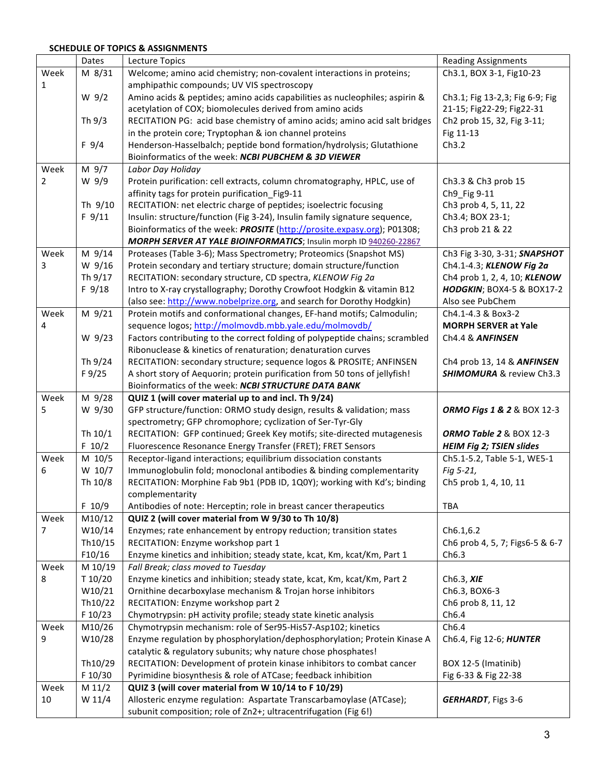## **SCHEDULE OF TOPICS & ASSIGNMENTS**

|      | Dates   | Lecture Topics                                                               | <b>Reading Assignments</b>      |
|------|---------|------------------------------------------------------------------------------|---------------------------------|
| Week | M 8/31  | Welcome; amino acid chemistry; non-covalent interactions in proteins;        | Ch3.1, BOX 3-1, Fig10-23        |
| 1    |         | amphipathic compounds; UV VIS spectroscopy                                   |                                 |
|      | $W$ 9/2 | Amino acids & peptides; amino acids capabilities as nucleophiles; aspirin &  | Ch3.1; Fig 13-2,3; Fig 6-9; Fig |
|      |         | acetylation of COX; biomolecules derived from amino acids                    | 21-15; Fig22-29; Fig22-31       |
|      | Th 9/3  | RECITATION PG: acid base chemistry of amino acids; amino acid salt bridges   | Ch2 prob 15, 32, Fig 3-11;      |
|      |         | in the protein core; Tryptophan & ion channel proteins                       | Fig 11-13                       |
|      | F 9/4   | Henderson-Hasselbalch; peptide bond formation/hydrolysis; Glutathione        | Ch3.2                           |
|      |         | Bioinformatics of the week: NCBI PUBCHEM & 3D VIEWER                         |                                 |
| Week | M 9/7   | Labor Day Holiday                                                            |                                 |
| 2    | W 9/9   | Protein purification: cell extracts, column chromatography, HPLC, use of     | Ch3.3 & Ch3 prob 15             |
|      |         | affinity tags for protein purification Fig9-11                               | Ch9_Fig 9-11                    |
|      | Th 9/10 | RECITATION: net electric charge of peptides; isoelectric focusing            | Ch3 prob 4, 5, 11, 22           |
|      | F 9/11  | Insulin: structure/function (Fig 3-24), Insulin family signature sequence,   | Ch3.4; BOX 23-1;                |
|      |         | Bioinformatics of the week: PROSITE (http://prosite.expasy.org); P01308;     | Ch3 prob 21 & 22                |
|      |         | MORPH SERVER AT YALE BIOINFORMATICS; Insulin morph ID 940260-22867           |                                 |
| Week | M 9/14  | Proteases (Table 3-6); Mass Spectrometry; Proteomics (Snapshot MS)           | Ch3 Fig 3-30, 3-31; SNAPSHOT    |
| 3    | W 9/16  | Protein secondary and tertiary structure; domain structure/function          | Ch4.1-4.3; KLENOW Fig 2a        |
|      | Th 9/17 | RECITATION: secondary structure, CD spectra, KLENOW Fig 2a                   | Ch4 prob 1, 2, 4, 10; KLENOW    |
|      | F 9/18  | Intro to X-ray crystallography; Dorothy Crowfoot Hodgkin & vitamin B12       | HODGKIN; BOX4-5 & BOX17-2       |
|      |         | (also see: http://www.nobelprize.org, and search for Dorothy Hodgkin)        | Also see PubChem                |
| Week | M 9/21  | Protein motifs and conformational changes, EF-hand motifs; Calmodulin;       | Ch4.1-4.3 & Box3-2              |
| 4    |         | sequence logos; http://molmovdb.mbb.yale.edu/molmovdb/                       | <b>MORPH SERVER at Yale</b>     |
|      | W 9/23  | Factors contributing to the correct folding of polypeptide chains; scrambled | Ch4.4 & ANFINSEN                |
|      |         | Ribonuclease & kinetics of renaturation; denaturation curves                 |                                 |
|      | Th 9/24 | RECITATION: secondary structure; sequence logos & PROSITE; ANFINSEN          | Ch4 prob 13, 14 & ANFINSEN      |
|      | F 9/25  | A short story of Aequorin; protein purification from 50 tons of jellyfish!   | SHIMOMURA & review Ch3.3        |
|      |         | Bioinformatics of the week: NCBI STRUCTURE DATA BANK                         |                                 |
| Week | M 9/28  | QUIZ 1 (will cover material up to and incl. Th 9/24)                         |                                 |
| 5    | W 9/30  | GFP structure/function: ORMO study design, results & validation; mass        | ORMO Figs 1 & 2 & BOX 12-3      |
|      |         | spectrometry; GFP chromophore; cyclization of Ser-Tyr-Gly                    |                                 |
|      | Th 10/1 | RECITATION: GFP continued; Greek Key motifs; site-directed mutagenesis       | ORMO Table 2 & BOX 12-3         |
|      | F 10/2  | Fluorescence Resonance Energy Transfer (FRET); FRET Sensors                  | <b>HEIM Fig 2; TSIEN slides</b> |
| Week | M 10/5  | Receptor-ligand interactions; equilibrium dissociation constants             | Ch5.1-5.2, Table 5-1, WE5-1     |
| 6    | W 10/7  | Immunoglobulin fold; monoclonal antibodies & binding complementarity         | Fig 5-21,                       |
|      | Th 10/8 | RECITATION: Morphine Fab 9b1 (PDB ID, 1Q0Y); working with Kd's; binding      | Ch5 prob 1, 4, 10, 11           |
|      |         | complementarity                                                              |                                 |
|      | F 10/9  | Antibodies of note: Herceptin; role in breast cancer therapeutics            | <b>TBA</b>                      |
| Week | M10/12  | QUIZ 2 (will cover material from W 9/30 to Th 10/8)                          |                                 |
| 7    | W10/14  | Enzymes; rate enhancement by entropy reduction; transition states            | Ch6.1,6.2                       |
|      | Th10/15 | RECITATION: Enzyme workshop part 1                                           | Ch6 prob 4, 5, 7; Figs6-5 & 6-7 |
|      | F10/16  | Enzyme kinetics and inhibition; steady state, kcat, Km, kcat/Km, Part 1      | Ch6.3                           |
| Week | M 10/19 | Fall Break; class moved to Tuesday                                           |                                 |
| 8    | T 10/20 | Enzyme kinetics and inhibition; steady state, kcat, Km, kcat/Km, Part 2      | Ch6.3, XIE                      |
|      | W10/21  | Ornithine decarboxylase mechanism & Trojan horse inhibitors                  | Ch6.3, BOX6-3                   |
|      | Th10/22 | RECITATION: Enzyme workshop part 2                                           | Ch6 prob 8, 11, 12              |
|      | F 10/23 | Chymotrypsin: pH activity profile; steady state kinetic analysis             | Ch6.4                           |
| Week | M10/26  | Chymotrypsin mechanism: role of Ser95-His57-Asp102; kinetics                 | Ch6.4                           |
| 9    | W10/28  | Enzyme regulation by phosphorylation/dephosphorylation; Protein Kinase A     | Ch6.4, Fig 12-6; HUNTER         |
|      |         | catalytic & regulatory subunits; why nature chose phosphates!                |                                 |
|      | Th10/29 | RECITATION: Development of protein kinase inhibitors to combat cancer        | BOX 12-5 (Imatinib)             |
|      | F 10/30 | Pyrimidine biosynthesis & role of ATCase; feedback inhibition                | Fig 6-33 & Fig 22-38            |
| Week | M 11/2  | QUIZ 3 (will cover material from W 10/14 to F 10/29)                         |                                 |
| 10   | W 11/4  | Allosteric enzyme regulation: Aspartate Transcarbamoylase (ATCase);          | <b>GERHARDT, Figs 3-6</b>       |
|      |         | subunit composition; role of Zn2+; ultracentrifugation (Fig 6!)              |                                 |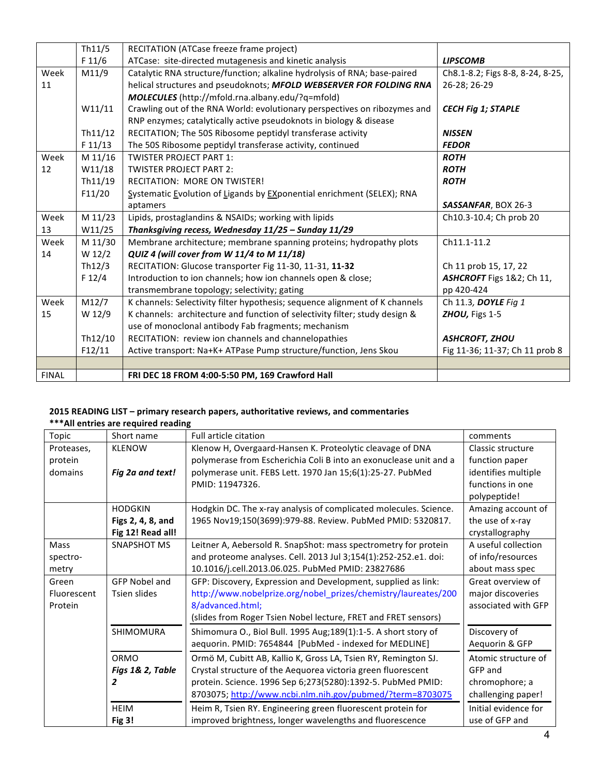|              | Th11/5  | RECITATION (ATCase freeze frame project)                                            |                                  |  |  |
|--------------|---------|-------------------------------------------------------------------------------------|----------------------------------|--|--|
|              | F 11/6  | ATCase: site-directed mutagenesis and kinetic analysis                              | <b>LIPSCOMB</b>                  |  |  |
| Week         | M11/9   | Catalytic RNA structure/function; alkaline hydrolysis of RNA; base-paired           | Ch8.1-8.2; Figs 8-8, 8-24, 8-25, |  |  |
| 11           |         | helical structures and pseudoknots; MFOLD WEBSERVER FOR FOLDING RNA<br>26-28; 26-29 |                                  |  |  |
|              |         | MOLECULES (http://mfold.rna.albany.edu/?q=mfold)                                    |                                  |  |  |
|              | W11/11  | Crawling out of the RNA World: evolutionary perspectives on ribozymes and           | <b>CECH Fig 1; STAPLE</b>        |  |  |
|              |         | RNP enzymes; catalytically active pseudoknots in biology & disease                  |                                  |  |  |
|              | Th11/12 | RECITATION; The 50S Ribosome peptidyl transferase activity                          | <b>NISSEN</b>                    |  |  |
|              | F 11/13 | The 50S Ribosome peptidyl transferase activity, continued                           | <b>FEDOR</b>                     |  |  |
| Week         | M 11/16 | <b>TWISTER PROJECT PART 1:</b>                                                      | <b>ROTH</b>                      |  |  |
| 12           | W11/18  | <b>TWISTER PROJECT PART 2:</b>                                                      | <b>ROTH</b>                      |  |  |
|              | Th11/19 | <b>RECITATION: MORE ON TWISTER!</b>                                                 | <b>ROTH</b>                      |  |  |
|              | F11/20  | Systematic Evolution of Ligands by EXponential enrichment (SELEX); RNA              |                                  |  |  |
|              |         | aptamers                                                                            | SASSANFAR, BOX 26-3              |  |  |
| Week         | M 11/23 | Lipids, prostaglandins & NSAIDs; working with lipids                                | Ch10.3-10.4; Ch prob 20          |  |  |
| 13           | W11/25  | Thanksgiving recess, Wednesday 11/25 - Sunday 11/29                                 |                                  |  |  |
| Week         | M 11/30 | Membrane architecture; membrane spanning proteins; hydropathy plots                 | Ch11.1-11.2                      |  |  |
| 14           | W 12/2  | QUIZ 4 (will cover from W 11/4 to M 11/18)                                          |                                  |  |  |
|              | Th12/3  | RECITATION: Glucose transporter Fig 11-30, 11-31, 11-32                             | Ch 11 prob 15, 17, 22            |  |  |
|              | F 12/4  | Introduction to ion channels; how ion channels open & close;                        | ASHCROFT Figs 1&2; Ch 11,        |  |  |
|              |         | transmembrane topology; selectivity; gating                                         | pp 420-424                       |  |  |
| Week         | M12/7   | K channels: Selectivity filter hypothesis; sequence alignment of K channels         | Ch 11.3, DOYLE Fig 1             |  |  |
| 15           | W 12/9  | K channels: architecture and function of selectivity filter; study design &         | ZHOU, Figs 1-5                   |  |  |
|              |         | use of monoclonal antibody Fab fragments; mechanism                                 |                                  |  |  |
|              | Th12/10 | RECITATION: review ion channels and channelopathies                                 | <b>ASHCROFT, ZHOU</b>            |  |  |
|              | F12/11  | Active transport: Na+K+ ATPase Pump structure/function, Jens Skou                   | Fig 11-36; 11-37; Ch 11 prob 8   |  |  |
|              |         |                                                                                     |                                  |  |  |
| <b>FINAL</b> |         | FRI DEC 18 FROM 4:00-5:50 PM, 169 Crawford Hall                                     |                                  |  |  |

## **2015 READING LIST** – primary research papers, authoritative reviews, and commentaries \*\*\*All entries are required reading

| Topic       | Short name           | Full article citation                                             | comments             |
|-------------|----------------------|-------------------------------------------------------------------|----------------------|
| Proteases,  | <b>KLENOW</b>        | Klenow H, Overgaard-Hansen K. Proteolytic cleavage of DNA         | Classic structure    |
| protein     |                      | polymerase from Escherichia Coli B into an exonuclease unit and a | function paper       |
| domains     | Fig 2a and text!     | polymerase unit. FEBS Lett. 1970 Jan 15;6(1):25-27. PubMed        | identifies multiple  |
|             |                      | PMID: 11947326.                                                   | functions in one     |
|             |                      |                                                                   | polypeptide!         |
|             | <b>HODGKIN</b>       | Hodgkin DC. The x-ray analysis of complicated molecules. Science. | Amazing account of   |
|             | Figs 2, 4, 8, and    | 1965 Nov19;150(3699):979-88. Review. PubMed PMID: 5320817.        | the use of x-ray     |
|             | Fig 12! Read all!    |                                                                   | crystallography      |
| <b>Mass</b> | SNAPSHOT MS          | Leitner A, Aebersold R. SnapShot: mass spectrometry for protein   | A useful collection  |
| spectro-    |                      | and proteome analyses. Cell. 2013 Jul 3;154(1):252-252.e1. doi:   | of info/resources    |
| metry       |                      | 10.1016/j.cell.2013.06.025. PubMed PMID: 23827686                 | about mass spec      |
| Green       | <b>GFP Nobel and</b> | GFP: Discovery, Expression and Development, supplied as link:     | Great overview of    |
| Fluorescent | <b>Tsien slides</b>  | http://www.nobelprize.org/nobel prizes/chemistry/laureates/200    | major discoveries    |
| Protein     |                      | 8/advanced.html;                                                  | associated with GFP  |
|             |                      | (slides from Roger Tsien Nobel lecture, FRET and FRET sensors)    |                      |
|             | <b>SHIMOMURA</b>     | Shimomura O., Biol Bull. 1995 Aug; 189(1): 1-5. A short story of  | Discovery of         |
|             |                      | aequorin. PMID: 7654844 [PubMed - indexed for MEDLINE]            | Aequorin & GFP       |
|             | ORMO                 | Ormö M, Cubitt AB, Kallio K, Gross LA, Tsien RY, Remington SJ.    | Atomic structure of  |
|             | Figs 1& 2, Table     | Crystal structure of the Aequorea victoria green fluorescent      | GFP and              |
|             | 2                    | protein. Science. 1996 Sep 6;273(5280):1392-5. PubMed PMID:       | chromophore; a       |
|             |                      | 8703075; http://www.ncbi.nlm.nih.gov/pubmed/?term=8703075         | challenging paper!   |
|             | <b>HEIM</b>          | Heim R, Tsien RY. Engineering green fluorescent protein for       | Initial evidence for |
|             | <b>Fig 3!</b>        | improved brightness, longer wavelengths and fluorescence          | use of GFP and       |